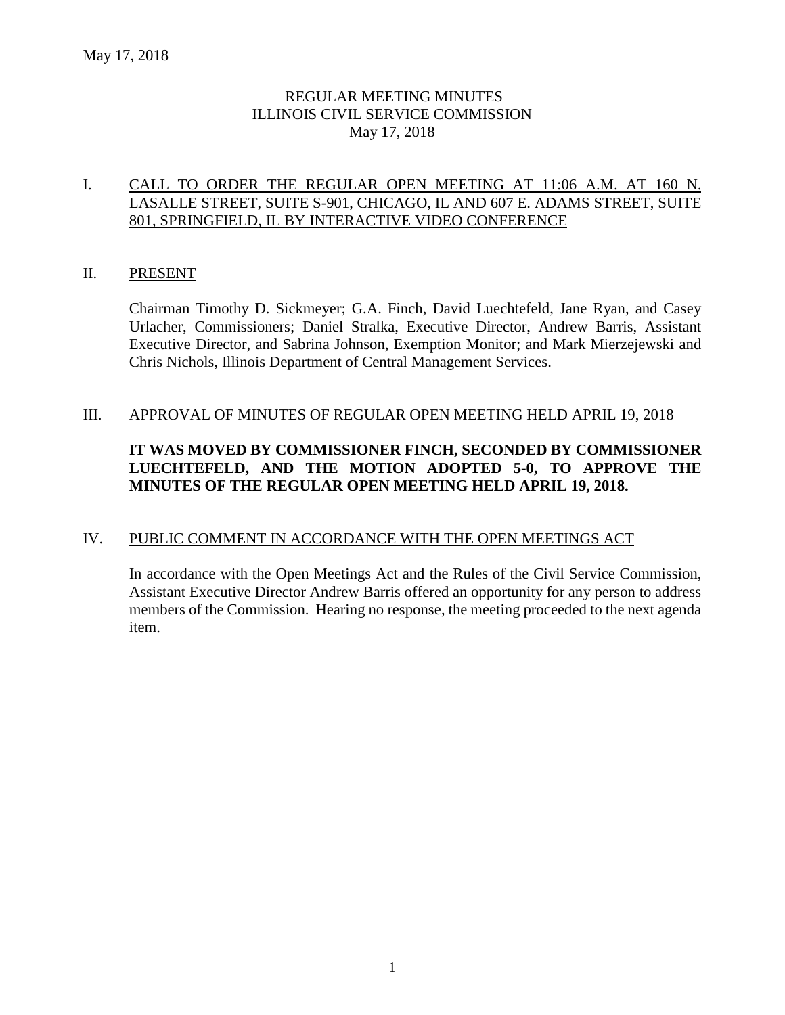# REGULAR MEETING MINUTES ILLINOIS CIVIL SERVICE COMMISSION May 17, 2018

# I. CALL TO ORDER THE REGULAR OPEN MEETING AT 11:06 A.M. AT 160 N. LASALLE STREET, SUITE S-901, CHICAGO, IL AND 607 E. ADAMS STREET, SUITE 801, SPRINGFIELD, IL BY INTERACTIVE VIDEO CONFERENCE

#### II. PRESENT

Chairman Timothy D. Sickmeyer; G.A. Finch, David Luechtefeld, Jane Ryan, and Casey Urlacher, Commissioners; Daniel Stralka, Executive Director, Andrew Barris, Assistant Executive Director, and Sabrina Johnson, Exemption Monitor; and Mark Mierzejewski and Chris Nichols, Illinois Department of Central Management Services.

#### III. APPROVAL OF MINUTES OF REGULAR OPEN MEETING HELD APRIL 19, 2018

# **IT WAS MOVED BY COMMISSIONER FINCH, SECONDED BY COMMISSIONER LUECHTEFELD, AND THE MOTION ADOPTED 5-0, TO APPROVE THE MINUTES OF THE REGULAR OPEN MEETING HELD APRIL 19, 2018.**

# IV. PUBLIC COMMENT IN ACCORDANCE WITH THE OPEN MEETINGS ACT

In accordance with the Open Meetings Act and the Rules of the Civil Service Commission, Assistant Executive Director Andrew Barris offered an opportunity for any person to address members of the Commission. Hearing no response, the meeting proceeded to the next agenda item.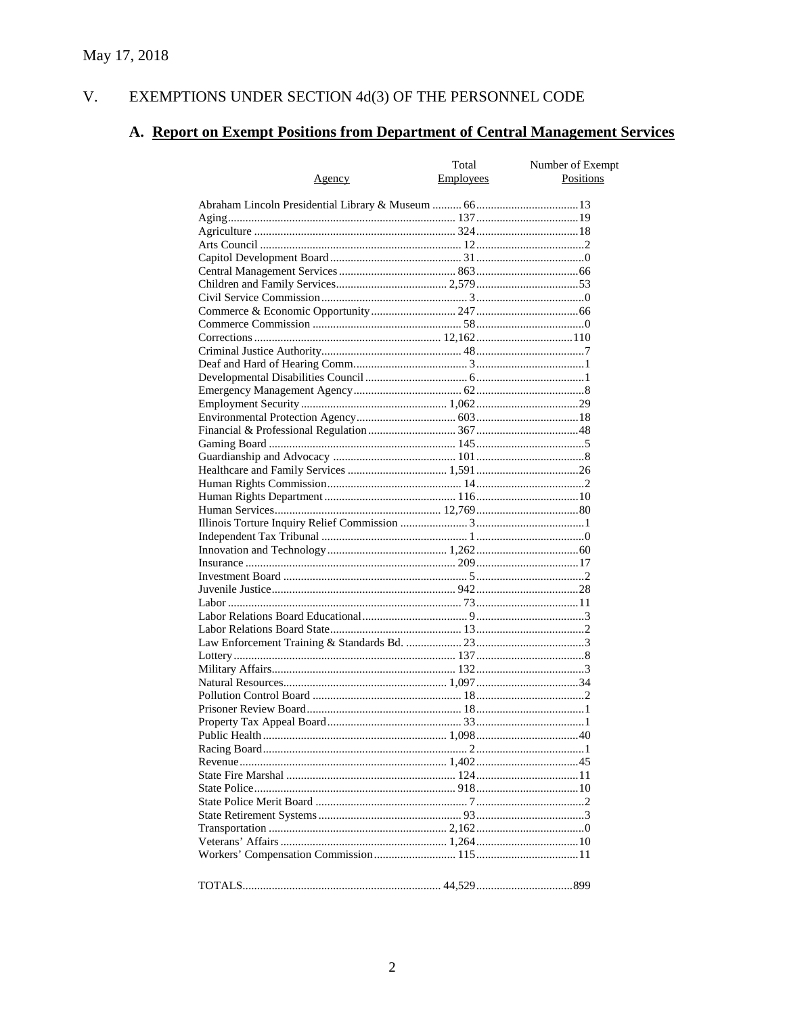#### EXEMPTIONS UNDER SECTION  $4d(3)$  OF THE PERSONNEL CODE V.

# A. Report on Exempt Positions from Department of Central Management Services

|        | Total     | Number of Exempt |
|--------|-----------|------------------|
| Agency | Employees | Positions        |
|        |           |                  |
|        |           |                  |
|        |           |                  |
|        |           |                  |
|        |           |                  |
|        |           |                  |
|        |           |                  |
|        |           |                  |
|        |           |                  |
|        |           |                  |
|        |           |                  |
|        |           |                  |
|        |           |                  |
|        |           |                  |
|        |           |                  |
|        |           |                  |
|        |           |                  |
|        |           |                  |
|        |           |                  |
|        |           |                  |
|        |           |                  |
|        |           |                  |
|        |           |                  |
|        |           |                  |
|        |           |                  |
|        |           |                  |
|        |           |                  |
|        |           |                  |
|        |           |                  |
|        |           |                  |
|        |           |                  |
|        |           |                  |
|        |           |                  |
|        |           |                  |
|        |           |                  |
|        |           |                  |
|        |           |                  |
|        |           |                  |
|        |           |                  |
|        |           |                  |
|        |           |                  |
|        |           |                  |
|        |           |                  |
|        |           |                  |
|        |           |                  |
|        |           |                  |
|        |           |                  |
|        |           |                  |
|        |           |                  |
|        |           |                  |
|        |           |                  |
|        |           |                  |
|        |           |                  |
|        |           |                  |
|        |           |                  |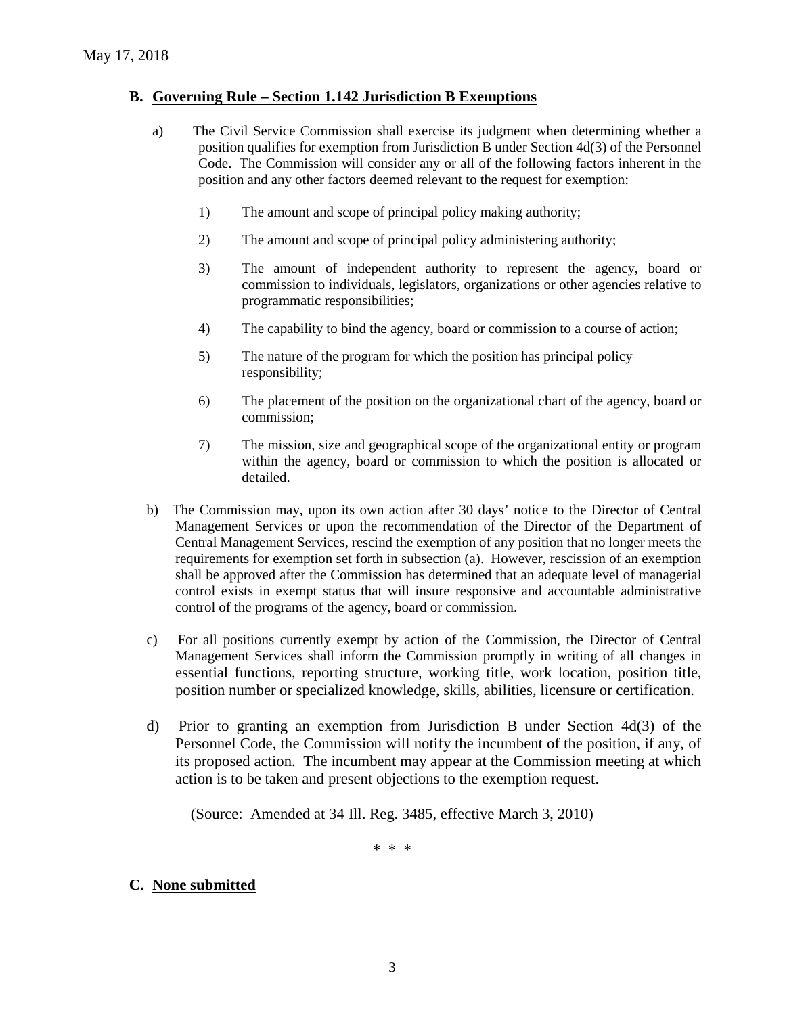#### **B. Governing Rule – Section 1.142 Jurisdiction B Exemptions**

- a) The Civil Service Commission shall exercise its judgment when determining whether a position qualifies for exemption from Jurisdiction B under Section 4d(3) of the Personnel Code. The Commission will consider any or all of the following factors inherent in the position and any other factors deemed relevant to the request for exemption:
	- 1) The amount and scope of principal policy making authority;
	- 2) The amount and scope of principal policy administering authority;
	- 3) The amount of independent authority to represent the agency, board or commission to individuals, legislators, organizations or other agencies relative to programmatic responsibilities;
	- 4) The capability to bind the agency, board or commission to a course of action;
	- 5) The nature of the program for which the position has principal policy responsibility;
	- 6) The placement of the position on the organizational chart of the agency, board or commission;
	- 7) The mission, size and geographical scope of the organizational entity or program within the agency, board or commission to which the position is allocated or detailed.
- b) The Commission may, upon its own action after 30 days' notice to the Director of Central Management Services or upon the recommendation of the Director of the Department of Central Management Services, rescind the exemption of any position that no longer meets the requirements for exemption set forth in subsection (a). However, rescission of an exemption shall be approved after the Commission has determined that an adequate level of managerial control exists in exempt status that will insure responsive and accountable administrative control of the programs of the agency, board or commission.
- c) For all positions currently exempt by action of the Commission, the Director of Central Management Services shall inform the Commission promptly in writing of all changes in essential functions, reporting structure, working title, work location, position title, position number or specialized knowledge, skills, abilities, licensure or certification.
- d) Prior to granting an exemption from Jurisdiction B under Section 4d(3) of the Personnel Code, the Commission will notify the incumbent of the position, if any, of its proposed action. The incumbent may appear at the Commission meeting at which action is to be taken and present objections to the exemption request.

(Source: Amended at 34 Ill. Reg. 3485, effective March 3, 2010)

\* \* \*

#### **C. None submitted**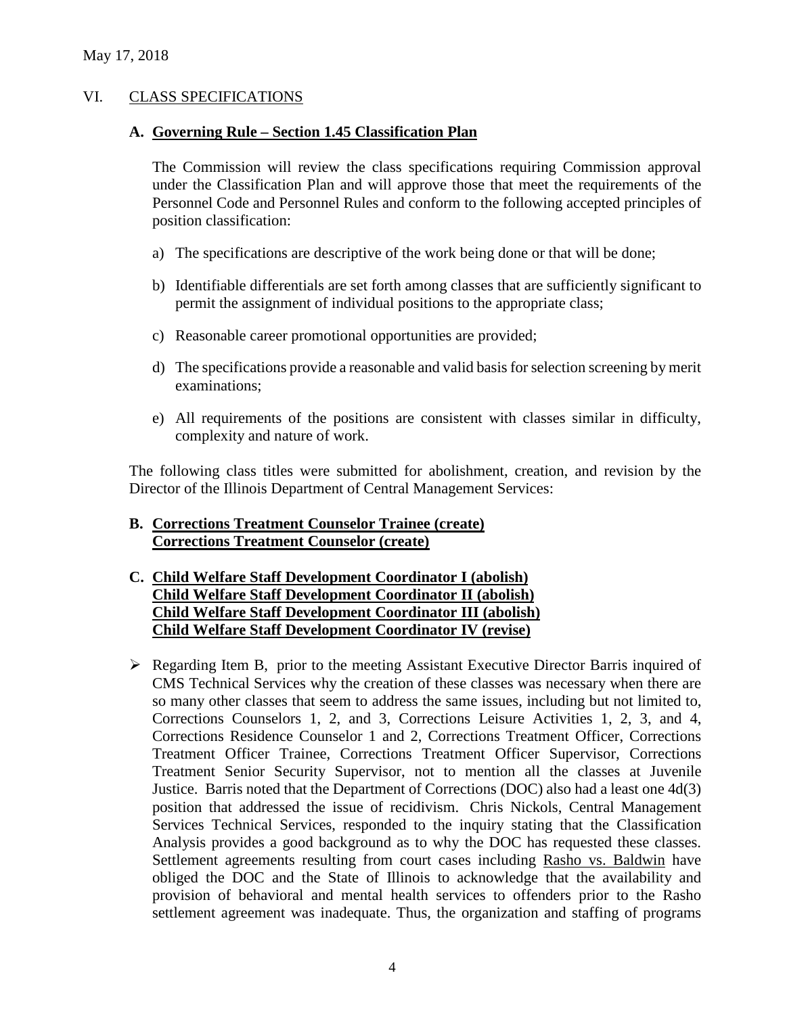#### VI. CLASS SPECIFICATIONS

#### **A. Governing Rule – Section 1.45 Classification Plan**

The Commission will review the class specifications requiring Commission approval under the Classification Plan and will approve those that meet the requirements of the Personnel Code and Personnel Rules and conform to the following accepted principles of position classification:

- a) The specifications are descriptive of the work being done or that will be done;
- b) Identifiable differentials are set forth among classes that are sufficiently significant to permit the assignment of individual positions to the appropriate class;
- c) Reasonable career promotional opportunities are provided;
- d) The specifications provide a reasonable and valid basis for selection screening by merit examinations;
- e) All requirements of the positions are consistent with classes similar in difficulty, complexity and nature of work.

The following class titles were submitted for abolishment, creation, and revision by the Director of the Illinois Department of Central Management Services:

## **B. Corrections Treatment Counselor Trainee (create) Corrections Treatment Counselor (create)**

- **C. Child Welfare Staff Development Coordinator I (abolish) Child Welfare Staff Development Coordinator II (abolish) Child Welfare Staff Development Coordinator III (abolish) Child Welfare Staff Development Coordinator IV (revise)**
- $\triangleright$  Regarding Item B, prior to the meeting Assistant Executive Director Barris inquired of CMS Technical Services why the creation of these classes was necessary when there are so many other classes that seem to address the same issues, including but not limited to, Corrections Counselors 1, 2, and 3, Corrections Leisure Activities 1, 2, 3, and 4, Corrections Residence Counselor 1 and 2, Corrections Treatment Officer, Corrections Treatment Officer Trainee, Corrections Treatment Officer Supervisor, Corrections Treatment Senior Security Supervisor, not to mention all the classes at Juvenile Justice. Barris noted that the Department of Corrections (DOC) also had a least one 4d(3) position that addressed the issue of recidivism. Chris Nickols, Central Management Services Technical Services, responded to the inquiry stating that the Classification Analysis provides a good background as to why the DOC has requested these classes. Settlement agreements resulting from court cases including Rasho vs. Baldwin have obliged the DOC and the State of Illinois to acknowledge that the availability and provision of behavioral and mental health services to offenders prior to the Rasho settlement agreement was inadequate. Thus, the organization and staffing of programs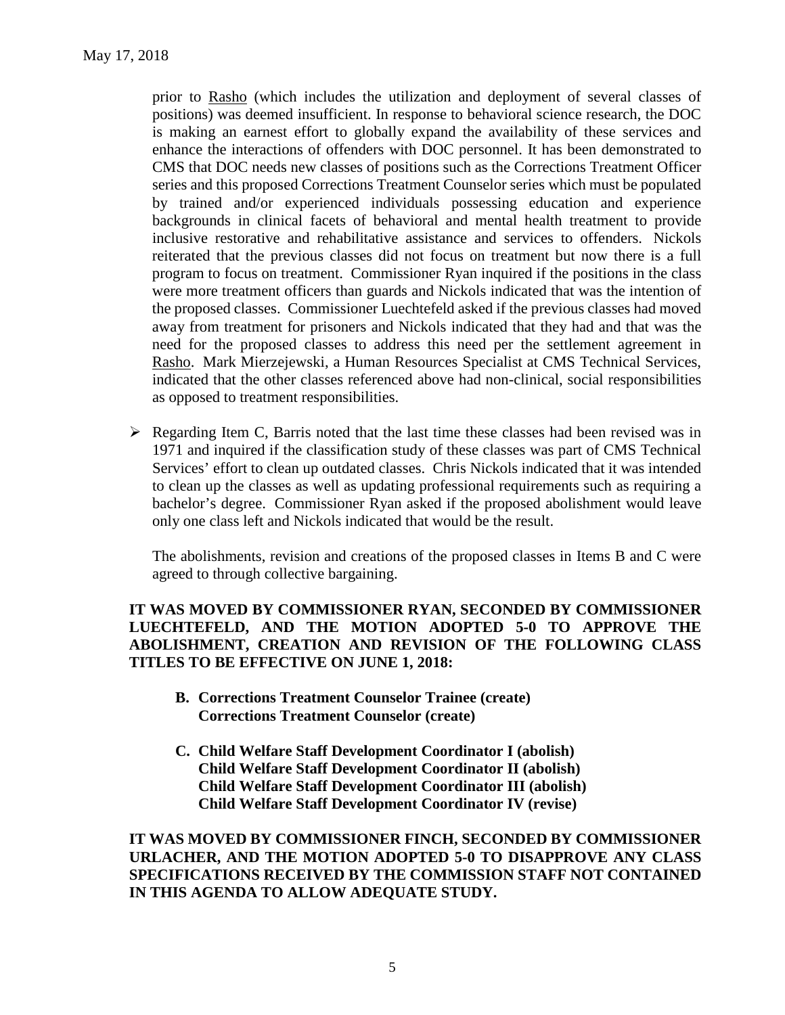prior to Rasho (which includes the utilization and deployment of several classes of positions) was deemed insufficient. In response to behavioral science research, the DOC is making an earnest effort to globally expand the availability of these services and enhance the interactions of offenders with DOC personnel. It has been demonstrated to CMS that DOC needs new classes of positions such as the Corrections Treatment Officer series and this proposed Corrections Treatment Counselor series which must be populated by trained and/or experienced individuals possessing education and experience backgrounds in clinical facets of behavioral and mental health treatment to provide inclusive restorative and rehabilitative assistance and services to offenders. Nickols reiterated that the previous classes did not focus on treatment but now there is a full program to focus on treatment. Commissioner Ryan inquired if the positions in the class were more treatment officers than guards and Nickols indicated that was the intention of the proposed classes. Commissioner Luechtefeld asked if the previous classes had moved away from treatment for prisoners and Nickols indicated that they had and that was the need for the proposed classes to address this need per the settlement agreement in Rasho. Mark Mierzejewski, a Human Resources Specialist at CMS Technical Services, indicated that the other classes referenced above had non-clinical, social responsibilities as opposed to treatment responsibilities.

 $\triangleright$  Regarding Item C, Barris noted that the last time these classes had been revised was in 1971 and inquired if the classification study of these classes was part of CMS Technical Services' effort to clean up outdated classes. Chris Nickols indicated that it was intended to clean up the classes as well as updating professional requirements such as requiring a bachelor's degree. Commissioner Ryan asked if the proposed abolishment would leave only one class left and Nickols indicated that would be the result.

The abolishments, revision and creations of the proposed classes in Items B and C were agreed to through collective bargaining.

**IT WAS MOVED BY COMMISSIONER RYAN, SECONDED BY COMMISSIONER LUECHTEFELD, AND THE MOTION ADOPTED 5-0 TO APPROVE THE ABOLISHMENT, CREATION AND REVISION OF THE FOLLOWING CLASS TITLES TO BE EFFECTIVE ON JUNE 1, 2018:**

- **B. Corrections Treatment Counselor Trainee (create) Corrections Treatment Counselor (create)**
- **C. Child Welfare Staff Development Coordinator I (abolish) Child Welfare Staff Development Coordinator II (abolish) Child Welfare Staff Development Coordinator III (abolish) Child Welfare Staff Development Coordinator IV (revise)**

**IT WAS MOVED BY COMMISSIONER FINCH, SECONDED BY COMMISSIONER URLACHER, AND THE MOTION ADOPTED 5-0 TO DISAPPROVE ANY CLASS SPECIFICATIONS RECEIVED BY THE COMMISSION STAFF NOT CONTAINED IN THIS AGENDA TO ALLOW ADEQUATE STUDY.**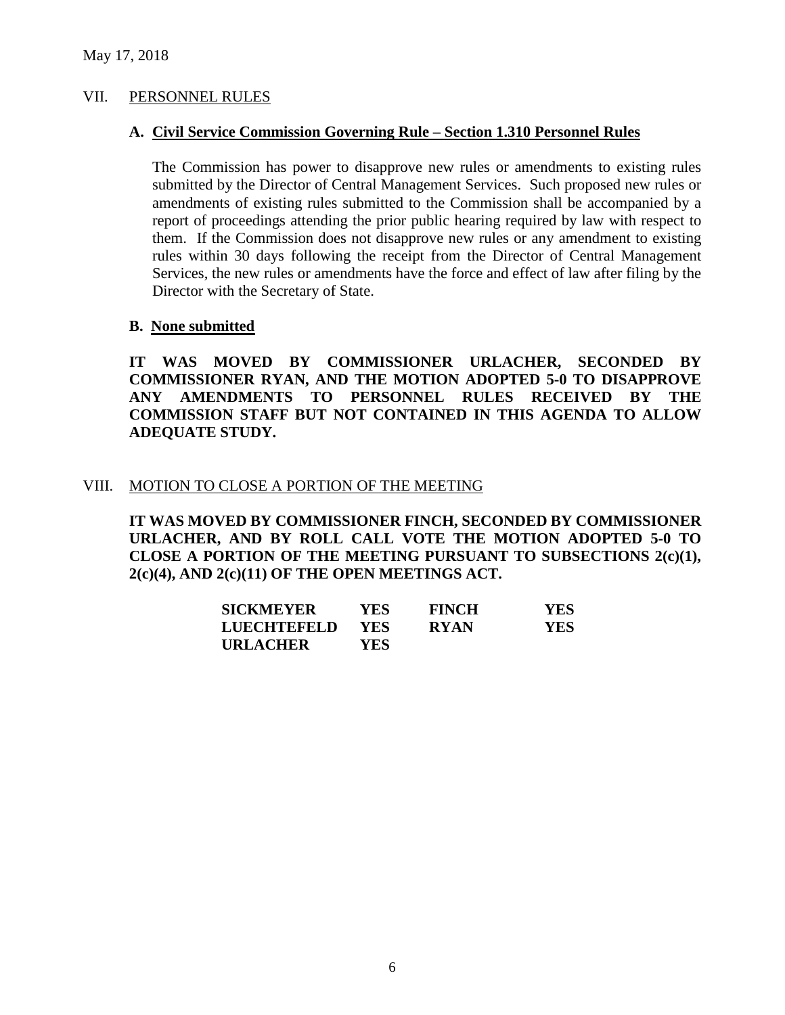#### VII. PERSONNEL RULES

#### **A. Civil Service Commission Governing Rule – Section 1.310 Personnel Rules**

The Commission has power to disapprove new rules or amendments to existing rules submitted by the Director of Central Management Services. Such proposed new rules or amendments of existing rules submitted to the Commission shall be accompanied by a report of proceedings attending the prior public hearing required by law with respect to them. If the Commission does not disapprove new rules or any amendment to existing rules within 30 days following the receipt from the Director of Central Management Services, the new rules or amendments have the force and effect of law after filing by the Director with the Secretary of State.

#### **B. None submitted**

**IT WAS MOVED BY COMMISSIONER URLACHER, SECONDED BY COMMISSIONER RYAN, AND THE MOTION ADOPTED 5-0 TO DISAPPROVE ANY AMENDMENTS TO PERSONNEL RULES RECEIVED BY THE COMMISSION STAFF BUT NOT CONTAINED IN THIS AGENDA TO ALLOW ADEQUATE STUDY.** 

#### VIII. MOTION TO CLOSE A PORTION OF THE MEETING

**IT WAS MOVED BY COMMISSIONER FINCH, SECONDED BY COMMISSIONER URLACHER, AND BY ROLL CALL VOTE THE MOTION ADOPTED 5-0 TO CLOSE A PORTION OF THE MEETING PURSUANT TO SUBSECTIONS 2(c)(1), 2(c)(4), AND 2(c)(11) OF THE OPEN MEETINGS ACT.**

| <b>SICKMEYER</b> | YES.       | <b>FINCH</b> | <b>YES</b> |
|------------------|------------|--------------|------------|
| LUECHTEFELD      | <b>YES</b> | <b>RYAN</b>  | <b>YES</b> |
| <b>URLACHER</b>  | YES.       |              |            |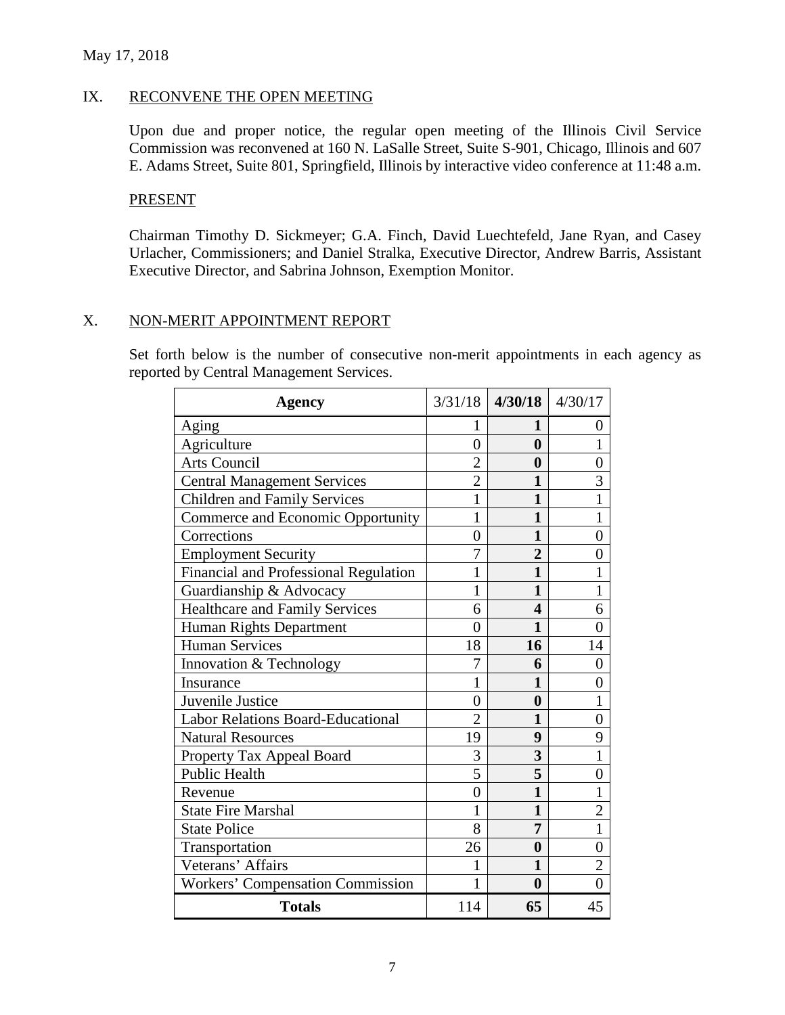## May 17, 2018

#### IX. RECONVENE THE OPEN MEETING

Upon due and proper notice, the regular open meeting of the Illinois Civil Service Commission was reconvened at 160 N. LaSalle Street, Suite S-901, Chicago, Illinois and 607 E. Adams Street, Suite 801, Springfield, Illinois by interactive video conference at 11:48 a.m.

#### PRESENT

Chairman Timothy D. Sickmeyer; G.A. Finch, David Luechtefeld, Jane Ryan, and Casey Urlacher, Commissioners; and Daniel Stralka, Executive Director, Andrew Barris, Assistant Executive Director, and Sabrina Johnson, Exemption Monitor.

# X. NON-MERIT APPOINTMENT REPORT

Set forth below is the number of consecutive non-merit appointments in each agency as reported by Central Management Services.

| <b>Agency</b>                                |                | $3/31/18$ 4/30/18 4/30/17 |                |
|----------------------------------------------|----------------|---------------------------|----------------|
| Aging                                        |                | 1                         | $\theta$       |
| Agriculture                                  | $\overline{0}$ | $\bf{0}$                  | 1              |
| <b>Arts Council</b>                          | $\overline{2}$ | $\boldsymbol{0}$          | 0              |
| <b>Central Management Services</b>           | $\overline{2}$ | $\mathbf{1}$              | 3              |
| <b>Children and Family Services</b>          | 1              | 1                         | $\mathbf{1}$   |
| Commerce and Economic Opportunity            | 1              | 1                         | 1              |
| Corrections                                  | $\overline{0}$ | 1                         | $\overline{0}$ |
| <b>Employment Security</b>                   | 7              | $\overline{2}$            | 0              |
| <b>Financial and Professional Regulation</b> | 1              | 1                         | 1              |
| Guardianship & Advocacy                      | 1              | 1                         |                |
| <b>Healthcare and Family Services</b>        | 6              | 4                         | 6              |
| Human Rights Department                      | 0              | 1                         | 0              |
| <b>Human Services</b>                        | 18             | 16                        | 14             |
| Innovation & Technology                      | 7              | 6                         | 0              |
| Insurance                                    | 1              | 1                         | 0              |
| Juvenile Justice                             | $\overline{0}$ | $\boldsymbol{0}$          | 1              |
| <b>Labor Relations Board-Educational</b>     | $\overline{2}$ | 1                         | 0              |
| <b>Natural Resources</b>                     | 19             | 9                         | 9              |
| Property Tax Appeal Board                    | 3              | 3                         | $\mathbf{1}$   |
| <b>Public Health</b>                         | 5              | 5                         | $\overline{0}$ |
| Revenue                                      | $\overline{0}$ | 1                         |                |
| <b>State Fire Marshal</b>                    | 1              | $\mathbf{1}$              | $\overline{2}$ |
| <b>State Police</b>                          | 8              | 7                         | $\mathbf{1}$   |
| Transportation                               | 26             | $\boldsymbol{0}$          | 0              |
| Veterans' Affairs                            | 1              | 1                         | 2              |
| <b>Workers' Compensation Commission</b>      | 1              | $\bf{0}$                  | $\theta$       |
| <b>Totals</b>                                | 114            | 65                        | 45             |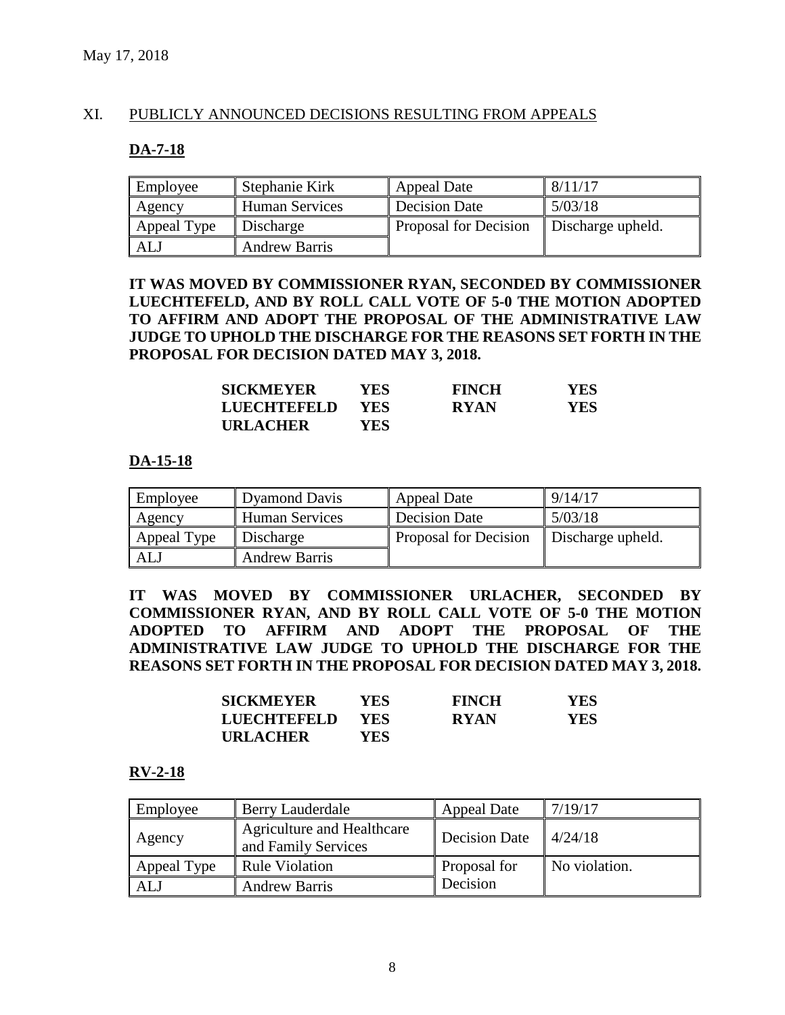# XI. PUBLICLY ANNOUNCED DECISIONS RESULTING FROM APPEALS

#### **DA-7-18**

| Employee    | Stephanie Kirk        | Appeal Date           | 8/11/17           |
|-------------|-----------------------|-----------------------|-------------------|
| Agency      | <b>Human Services</b> | <b>Decision Date</b>  | 5/03/18           |
| Appeal Type | Discharge             | Proposal for Decision | Discharge upheld. |
| <b>ALJ</b>  | <b>Andrew Barris</b>  |                       |                   |

#### **IT WAS MOVED BY COMMISSIONER RYAN, SECONDED BY COMMISSIONER LUECHTEFELD, AND BY ROLL CALL VOTE OF 5-0 THE MOTION ADOPTED TO AFFIRM AND ADOPT THE PROPOSAL OF THE ADMINISTRATIVE LAW JUDGE TO UPHOLD THE DISCHARGE FOR THE REASONS SET FORTH IN THE PROPOSAL FOR DECISION DATED MAY 3, 2018.**

| <b>SICKMEYER</b>   | YES.       | <b>FINCH</b> | YES. |
|--------------------|------------|--------------|------|
| <b>LUECHTEFELD</b> | <b>YES</b> | <b>RYAN</b>  | YES. |
| <b>URLACHER</b>    | YES        |              |      |

#### **DA-15-18**

| Employee    | <b>Dyamond Davis</b>  | Appeal Date                  | 9/14/17           |
|-------------|-----------------------|------------------------------|-------------------|
| Agency      | <b>Human Services</b> | <b>Decision Date</b>         | 5/03/18           |
| Appeal Type | Discharge             | <b>Proposal for Decision</b> | Discharge upheld. |
| ALJ         | <b>Andrew Barris</b>  |                              |                   |

**IT WAS MOVED BY COMMISSIONER URLACHER, SECONDED BY COMMISSIONER RYAN, AND BY ROLL CALL VOTE OF 5-0 THE MOTION ADOPTED TO AFFIRM AND ADOPT THE PROPOSAL OF THE ADMINISTRATIVE LAW JUDGE TO UPHOLD THE DISCHARGE FOR THE REASONS SET FORTH IN THE PROPOSAL FOR DECISION DATED MAY 3, 2018.**

| <b>SICKMEYER</b> | YES        | <b>FINCH</b> | <b>YES</b> |
|------------------|------------|--------------|------------|
| LUECHTEFELD      | <b>YES</b> | <b>RYAN</b>  | <b>YES</b> |
| <b>URLACHER</b>  | YES.       |              |            |

#### **RV-2-18**

| Employee    | <b>Berry Lauderdale</b>                                  | <b>Appeal Date</b>   | 7/19/17       |
|-------------|----------------------------------------------------------|----------------------|---------------|
| Agency      | <b>Agriculture and Healthcare</b><br>and Family Services | <b>Decision Date</b> | 4/24/18       |
| Appeal Type | <b>Rule Violation</b>                                    | Proposal for         | No violation. |
| <b>AL</b>   | <b>Andrew Barris</b>                                     | Decision             |               |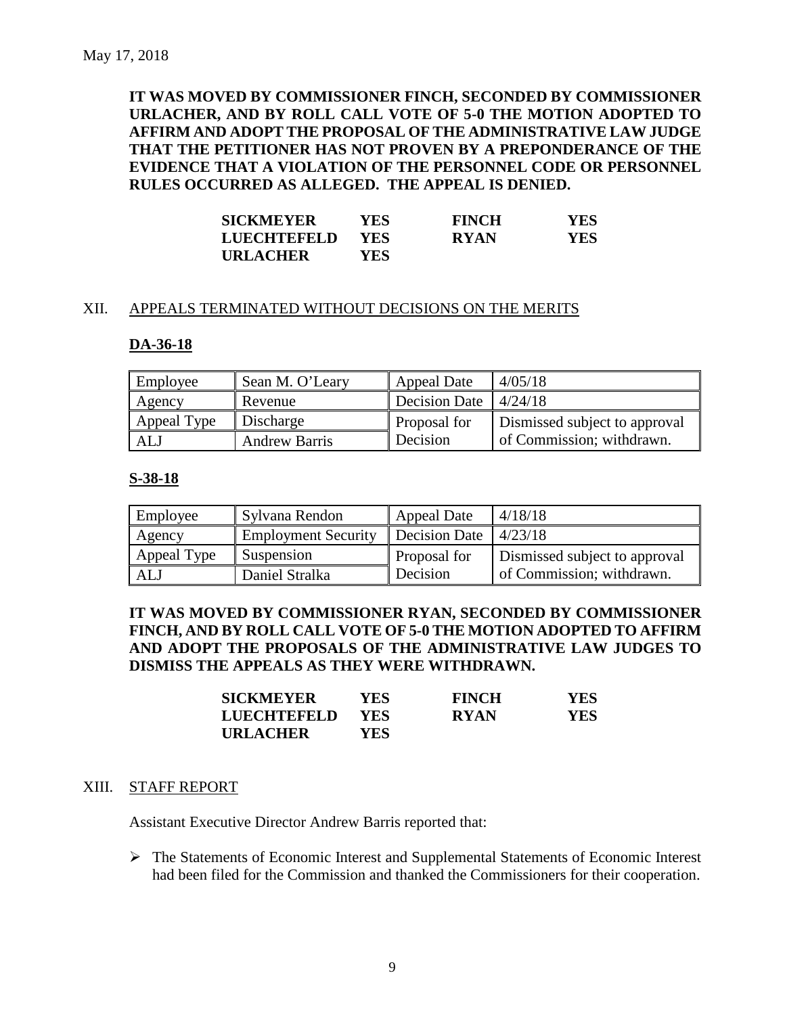**IT WAS MOVED BY COMMISSIONER FINCH, SECONDED BY COMMISSIONER URLACHER, AND BY ROLL CALL VOTE OF 5-0 THE MOTION ADOPTED TO AFFIRM AND ADOPT THE PROPOSAL OF THE ADMINISTRATIVE LAW JUDGE THAT THE PETITIONER HAS NOT PROVEN BY A PREPONDERANCE OF THE EVIDENCE THAT A VIOLATION OF THE PERSONNEL CODE OR PERSONNEL RULES OCCURRED AS ALLEGED. THE APPEAL IS DENIED.**

| <b>SICKMEYER</b>   | YES        | <b>FINCH</b> | YES. |
|--------------------|------------|--------------|------|
| <b>LUECHTEFELD</b> | <b>YES</b> | <b>RYAN</b>  | YES. |
| <b>URLACHER</b>    | YES        |              |      |

#### XII. APPEALS TERMINATED WITHOUT DECISIONS ON THE MERITS

#### **DA-36-18**

| Employee    | Sean M. O'Leary      | <b>Appeal Date</b>                  | 4/05/18                       |
|-------------|----------------------|-------------------------------------|-------------------------------|
| Agency      | Revenue              | Decision Date $\vert 4/24/18 \vert$ |                               |
| Appeal Type | Discharge            | Proposal for                        | Dismissed subject to approval |
| ALJ         | <b>Andrew Barris</b> | Decision                            | of Commission; withdrawn.     |

#### **S-38-18**

| Employee    | Sylvana Rendon             | Appeal Date   | 4/18/18                       |
|-------------|----------------------------|---------------|-------------------------------|
| Agency      | <b>Employment Security</b> | Decision Date | 14/23/18                      |
| Appeal Type | Suspension                 | Proposal for  | Dismissed subject to approval |
| ALJ         | Daniel Stralka             | Decision      | of Commission; withdrawn.     |

**IT WAS MOVED BY COMMISSIONER RYAN, SECONDED BY COMMISSIONER FINCH, AND BY ROLL CALL VOTE OF 5-0 THE MOTION ADOPTED TO AFFIRM AND ADOPT THE PROPOSALS OF THE ADMINISTRATIVE LAW JUDGES TO DISMISS THE APPEALS AS THEY WERE WITHDRAWN.**

| <b>SICKMEYER</b>   | <b>YES</b> | <b>FINCH</b> | <b>YES</b> |
|--------------------|------------|--------------|------------|
| <b>LUECHTEFELD</b> | <b>YES</b> | <b>RYAN</b>  | YES        |
| <b>URLACHER</b>    | YES.       |              |            |

#### XIII. STAFF REPORT

Assistant Executive Director Andrew Barris reported that:

 The Statements of Economic Interest and Supplemental Statements of Economic Interest had been filed for the Commission and thanked the Commissioners for their cooperation.